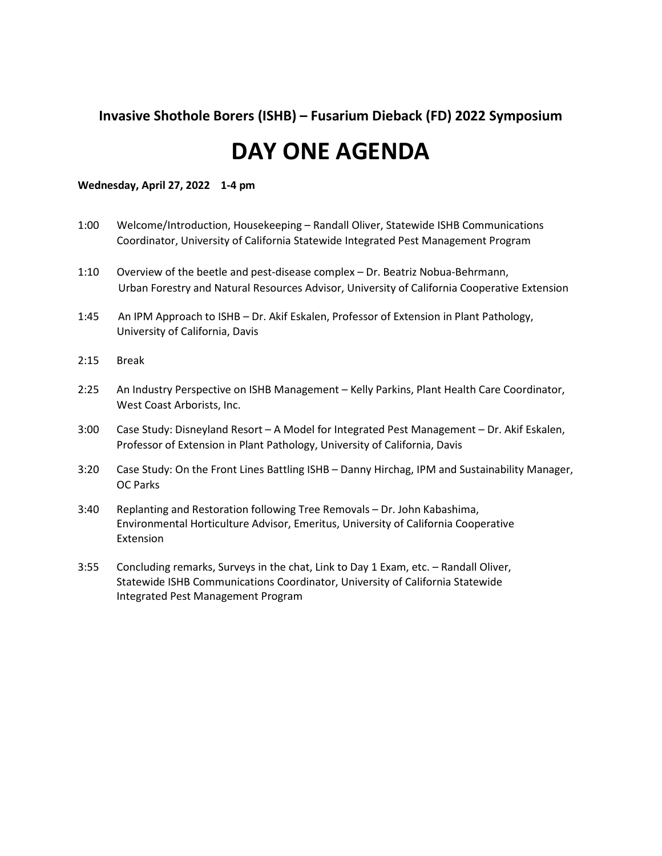## **Invasive Shothole Borers (ISHB) – Fusarium Dieback (FD) 2022 Symposium**

## **DAY ONE AGENDA**

#### **Wednesday, April 27, 2022 1-4 pm**

- 1:00 Welcome/Introduction, Housekeeping Randall Oliver, Statewide ISHB Communications Coordinator, University of California Statewide Integrated Pest Management Program
- 1:10 Overview of the beetle and pest-disease complex Dr. Beatriz Nobua-Behrmann, Urban Forestry and Natural Resources Advisor, University of California Cooperative Extension
- 1:45 An IPM Approach to ISHB Dr. Akif Eskalen, Professor of Extension in Plant Pathology, University of California, Davis
- 2:15 Break
- 2:25 An Industry Perspective on ISHB Management Kelly Parkins, Plant Health Care Coordinator, West Coast Arborists, Inc.
- 3:00 Case Study: Disneyland Resort A Model for Integrated Pest Management Dr. Akif Eskalen, Professor of Extension in Plant Pathology, University of California, Davis
- 3:20 Case Study: On the Front Lines Battling ISHB Danny Hirchag, IPM and Sustainability Manager, OC Parks
- 3:40 Replanting and Restoration following Tree Removals Dr. John Kabashima, Environmental Horticulture Advisor, Emeritus, University of California Cooperative Extension
- 3:55 Concluding remarks, Surveys in the chat, Link to Day 1 Exam, etc. Randall Oliver, Statewide ISHB Communications Coordinator, University of California Statewide Integrated Pest Management Program